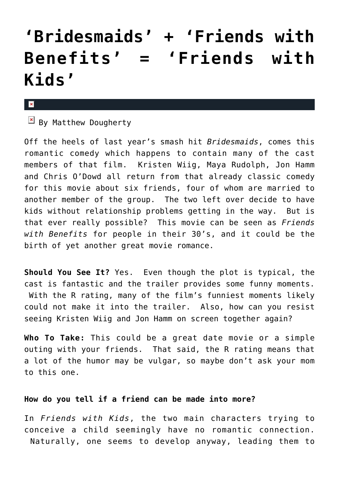## **['Bridesmaids' + 'Friends with](https://cupidspulse.com/27970/bridesmaids-friends-with-benefits-friends-with-kids/) [Benefits' = 'Friends with](https://cupidspulse.com/27970/bridesmaids-friends-with-benefits-friends-with-kids/) [Kids'](https://cupidspulse.com/27970/bridesmaids-friends-with-benefits-friends-with-kids/)**

 $\mathbf{x}$ 

 $\boxed{\times}$  By Matthew Dougherty

Off the heels of last year's smash hit *Bridesmaids*, comes this romantic comedy which happens to contain many of the cast members of that film. Kristen Wiig, Maya Rudolph, Jon Hamm and Chris O'Dowd all return from that already classic comedy for this movie about six friends, four of whom are married to another member of the group. The two left over decide to have kids without relationship problems getting in the way. But is that ever really possible? This movie can be seen as *Friends with Benefits* for people in their 30's, and it could be the birth of yet another great movie romance.

**Should You See It?** Yes. Even though the plot is typical, the cast is fantastic and the trailer provides some funny moments. With the R rating, many of the film's funniest moments likely could not make it into the trailer. Also, how can you resist seeing Kristen Wiig and Jon Hamm on screen together again?

**Who To Take:** This could be a great date movie or a simple outing with your friends. That said, the R rating means that a lot of the humor may be vulgar, so maybe don't ask your mom to this one.

## **How do you tell if a friend can be made into more?**

In *Friends with Kids*, the two main characters trying to conceive a child seemingly have no romantic connection. Naturally, one seems to develop anyway, leading them to